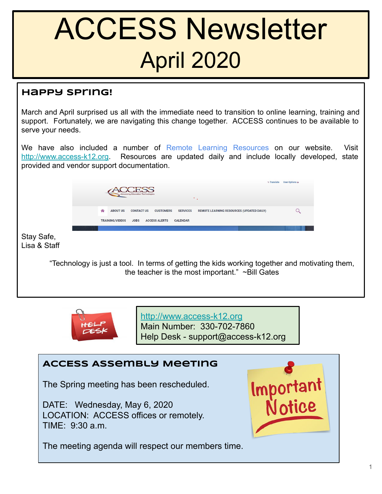# ACCESS Newsletter April 2020

### **Happy Spring!**

March and April surprised us all with the immediate need to transition to online learning, training and support. Fortunately, we are navigating this change together. ACCESS continues to be available to serve your needs.

We have also included a number of Remote Learning Resources on our website. Visit <http://www.access-k12.org>. Resources are updated daily and include locally developed, state provided and vendor support documentation.

|                                                                                                                                                   | $\bullet$                                                                                                                                  | * Translate<br><b>User Options 4</b> |  |
|---------------------------------------------------------------------------------------------------------------------------------------------------|--------------------------------------------------------------------------------------------------------------------------------------------|--------------------------------------|--|
|                                                                                                                                                   | <mark>△</mark><br><b>ABOUT US</b><br><b>CONTACT US</b><br>REMOTE LEARNING RESOURCES (UPDATED DAILY)<br><b>CUSTOMERS</b><br><b>SERVICES</b> | $\alpha$                             |  |
|                                                                                                                                                   | <b>TRAINING/VIDEOS</b><br><b>JOBS</b><br><b>ACCESS ALERTS</b><br><b>CALENDAR</b>                                                           |                                      |  |
| Stay Safe,<br>Lisa & Staff                                                                                                                        |                                                                                                                                            |                                      |  |
| "Technology is just a tool. In terms of getting the kids working together and motivating them,<br>the teacher is the most important." ~Bill Gates |                                                                                                                                            |                                      |  |



<http://www.access-k12.org> Main Number: 330-702-7860 Help Desk - support@access-k12.org

## **ACCESS Assembly Meeting**

The Spring meeting has been rescheduled.

DATE: Wednesday, May 6, 2020 LOCATION: ACCESS offices or remotely. TIME: 9:30 a.m.



The meeting agenda will respect our members time.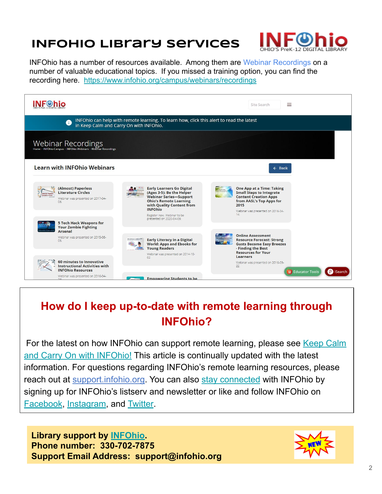## **INFOhio Library Services**



INFOhio has a number of resources available. Among them are Webinar Recordings on a number of valuable educational topics. If you missed a training option, you can find the recording here. <https://www.infohio.org/campus/webinars/recordings>

|                                                                                                                                          | $\equiv$<br>Site Search                                                                                                                                                                                                                   |                                                                                                                                                                                    |  |  |  |
|------------------------------------------------------------------------------------------------------------------------------------------|-------------------------------------------------------------------------------------------------------------------------------------------------------------------------------------------------------------------------------------------|------------------------------------------------------------------------------------------------------------------------------------------------------------------------------------|--|--|--|
| INFOhio can help with remote learning. To learn how, click this alert to read the latest<br>Œ<br>in Keep Calm and Carry On with INFOhio. |                                                                                                                                                                                                                                           |                                                                                                                                                                                    |  |  |  |
| <b>Webinar Recordings</b><br>Home - INFOhio Campus - INFOhio Webinars - Webinar Recordings                                               |                                                                                                                                                                                                                                           |                                                                                                                                                                                    |  |  |  |
| <b>Learn with INFOhio Webinars</b>                                                                                                       |                                                                                                                                                                                                                                           | $\leftarrow$ Back                                                                                                                                                                  |  |  |  |
| (Almost) Paperless<br><b>Literature Circles</b><br>Webinar was presented on 2017-04-<br>06                                               | <b>Early Learners Go Digital</b><br>(Ages 3-5): Be the Helper<br><b>Webinar Series-Support</b><br><b>Ohio's Remote Learning</b><br>with Quality Content from<br><b>INFOhio</b><br>Register now. Webinar to be<br>presented on 2020-04-09. | <b>One App at a Time: Taking</b><br><b>Small Steps to Integrate</b><br><b>Content Creation Apps</b><br>from AASL's Top Apps for<br>2015<br>Webinar was presented on 2016-04-<br>14 |  |  |  |
| <b>5 Tech Hack Weapons for</b><br><b>Your Zombie Fighting</b><br>Arsenal<br>Webinar was presented on 2015-08-<br>05.                     | <b>Early Literacy in a Digital</b><br><b>World: Apps and Ebooks for</b><br><b>Young Readers</b>                                                                                                                                           | <b>Online Assessment</b><br><b>Resource Forecast: Strong</b><br><b>Gusts Become Easy Breezes</b><br>- Finding the Best                                                             |  |  |  |
| 60 minutes to Innovative<br><b>Instructional Activities with</b><br><b>INFOhio Resources</b><br>Webinar was presented on 2016-04-        | Webinar was presented on 2014-10-<br>02.<br><b>Empowering Students to be</b>                                                                                                                                                              | <b>Resources for Your</b><br>Learners<br>Webinar was presented on 2016-09-<br>22.<br><b>Til</b> Educator Tools<br>ு<br><b>ISearch</b>                                              |  |  |  |

## **How do I keep up-to-date with remote learning through INFOhio?**

For the latest on how INFOhio can support remote learning, please see [Keep Calm](https://www.infohio.org/blog/item/keep-calm-and-carry-on-with-infohio) [and Carry On with INFOhio!](https://www.infohio.org/blog/item/keep-calm-and-carry-on-with-infohio) This article is continually updated with the latest information. For questions regarding INFOhio's remote learning resources, please reach out at [support.infohio.org](https://support.infohio.org/). You can also [stay connected](https://www.infohio.org/about/connect) with INFOhio by signing up for INFOhio's listserv and newsletter or like and follow INFOhio on [Facebook,](https://www.infohio.org/facebook.com/infohio) [Instagram,](https://www.instagram.com/infohio/) and [Twitter](https://www.twitter.com/infohio/).

**Library support by [INFOhio](http://www.infohio.org). Phone number: 330-702-7875 Support Email Address: support@infohio.org**

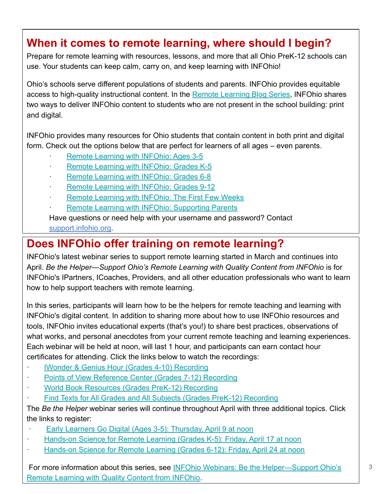## **When it comes to remote learning, where should I begin?**

Prepare for remote learning with resources, lessons, and more that all Ohio PreK-12 schools can use. Your students can keep calm, carry on, and keep learning with INFOhio!

Ohio's schools serve different populations of students and parents. INFOhio provides equitable access to high-quality instructional content. In the [Remote Learning Blog Series](https://www.infohio.org/blog/tag/remote%20learning), INFOhio shares two ways to deliver INFOhio content to students who are not present in the school building: print and digital.

INFOhio provides many resources for Ohio students that contain content in both print and digital form. Check out the options below that are perfect for learners of all ages – even parents.

- · [Remote Learning with INFOhio: Ages 3-5](https://www.infohio.org/blog/item/remote-learning-with-infohio)
- [Remote Learning with INFOhio: Grades K-5](https://www.infohio.org/blog/item/remote-learning-with-infohio-grades-k-5)
- · [Remote Learning with INFOhio: Grades 6-8](https://www.infohio.org/blog/item/remote-learning-with-infohio-grades-6-8)
- [Remote Learning with INFOhio: Grades 9-12](https://www.infohio.org/blog/item/remote-learning-with-infohio-grades-9-12)
- [Remote Learning with INFOhio: The First Few Weeks](https://www.infohio.org/blog/item/remote-learning-with-infohio-the-first-few-weeks)
- Remote Learning with INFOhio: Supporting Parents

Have questions or need help with your username and password? Contact [support.infohio.org](https://support.infohio.org/).

## **Does INFOhio offer training on remote learning?**

INFOhio's latest webinar series to support remote learning started in March and continues into April. *Be the Helper—Support Ohio's Remote Learning with Quality Content from INFOhio* is for INFOhio's [IPartners](https://www.infohio.org/campus/ipartner)[, ICoaches](https://www.infohio.org/campus/icoach), Providers, and all other education professionals who want to learn how to help support teachers with remote learning.

In this series, participants will learn how to be the helpers for remote teaching and learning with INFOhio's digital content. In addition to sharing more about how to use INFOhio resources and tools, INFOhio invites educational experts (that's you!) to share best practices, observations of what works, and personal anecdotes from your current remote teaching and learning experiences. Each webinar will be held at noon, will last 1 hour, and participants can earn contact hour certificates for attending. Click the links below to watch the recordings:

- **[IWonder & Genius Hour \(Grades 4-10\) Recording](https://www.infohio.org/campus/webinars/recordings/item/lwi20200325)**
- [Points of View Reference Center \(Grades 7-12\) Recording](https://www.infohio.org/campus/webinars/recordings/item/lwi20200327)
- [World Book Resources \(Grades PreK-12\) Recording](https://www.infohio.org/campus/webinars/recordings/item/lwi20200401)
- [Find Texts for All Grades and All Subjects \(Grades PreK-12\) Recording](https://www.infohio.org/campus/webinars/recordings/item/lwi20200403)

The *Be the Helper* webinar series will continue throughout April with three additional topics. Click the links to register:

- [Early Learners Go Digital \(Ages 3-5\): Thursday, April 9 at noon](https://www.infohio.org/campus/webinars/recordings/item/lwi20200409)
- **[Hands-on Science for Remote Learning \(Grades K-5\): Friday, April 17 at noon](https://www.infohio.org/campus/webinars/recordings/item/lwi20200417)**
- [Hands-on Science for Remote Learning \(Grades 6-12\): Friday, April 24 at noon](https://www.infohio.org/campus/webinars/recordings/item/lwi20200424)

 For more information about this series, see [INFOhio Webinars: Be the Helper—Support Ohio's](https://www.infohio.org/blog/item/infohio-webinars-be-the-helper-support-ohio-s-remote-learning-with-quality-content-from-infohio) [Remote Learning with Quality Content from INFOhio.](https://www.infohio.org/blog/item/infohio-webinars-be-the-helper-support-ohio-s-remote-learning-with-quality-content-from-infohio)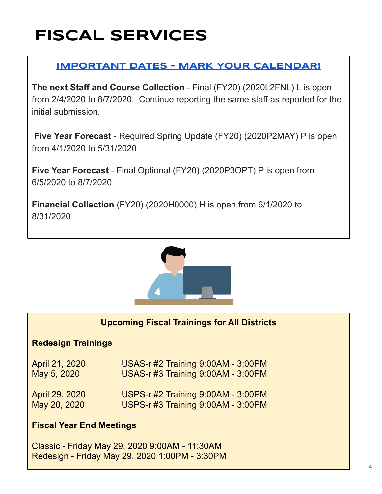## **FISCAL SERVICES**

## **IMPORTANT DATES - MARK YOUR CALENDAR!**

**The next Staff and Course Collection** - Final (FY20) (2020L2FNL) L is open from 2/4/2020 to 8/7/2020. Continue reporting the same staff as reported for the initial submission.

 **Five Year Forecast** - Required Spring Update (FY20) (2020P2MAY) P is open from 4/1/2020 to 5/31/2020

**Five Year Forecast** - Final Optional (FY20) (2020P3OPT) P is open from 6/5/2020 to 8/7/2020

**Financial Collection** (FY20) (2020H0000) H is open from 6/1/2020 to 8/31/2020



### **Upcoming Fiscal Trainings for All Districts**

### **Redesign Trainings**

| April 21, 2020 | USAS-r #2 Training 9:00AM - 3:00PM |
|----------------|------------------------------------|
| May 5, 2020    | USAS-r #3 Training 9:00AM - 3:00PM |
| April 29, 2020 | USPS-r #2 Training 9:00AM - 3:00PM |
| May 20, 2020   | USPS-r #3 Training 9:00AM - 3:00PM |

### **Fiscal Year End Meetings**

Classic - Friday May 29, 2020 9:00AM - 11:30AM Redesign - Friday May 29, 2020 1:00PM - 3:30PM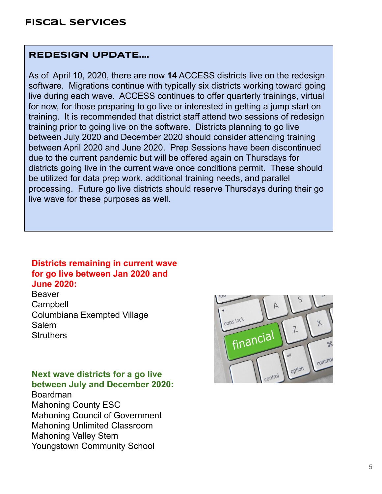### **REDESIGN UPDATE....**

As of April 10, 2020, there are now **14** ACCESS districts live on the redesign software. Migrations continue with typically six districts working toward going live during each wave. ACCESS continues to offer quarterly trainings, virtual for now, for those preparing to go live or interested in getting a jump start on training. It is recommended that district staff attend two sessions of redesign training prior to going live on the software. Districts planning to go live between July 2020 and December 2020 should consider attending training between April 2020 and June 2020. Prep Sessions have been discontinued due to the current pandemic but will be offered again on Thursdays for districts going live in the current wave once conditions permit. These should be utilized for data prep work, additional training needs, and parallel processing. Future go live districts should reserve Thursdays during their go live wave for these purposes as well.

### **Districts remaining in current wave for go live between Jan 2020 and June 2020:**

Beaver **Campbell** Columbiana Exempted Village Salem **Struthers** 

**Next wave districts for a go live between July and December 2020:**

Boardman Mahoning County ESC Mahoning Council of Government Mahoning Unlimited Classroom Mahoning Valley Stem Youngstown Community School

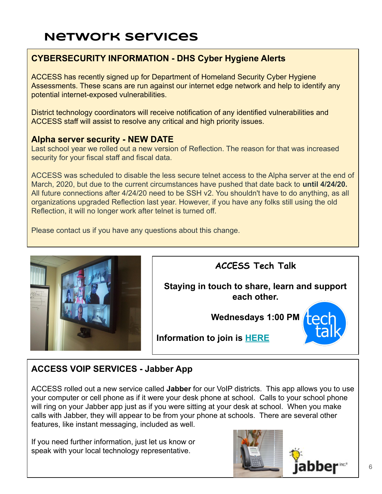## **Network Services**

### **CYBERSECURITY INFORMATION - DHS Cyber Hygiene Alerts**

ACCESS has recently signed up for Department of Homeland Security Cyber Hygiene Assessments. These scans are run against our internet edge network and help to identify any potential internet-exposed vulnerabilities.

District technology coordinators will receive notification of any identified vulnerabilities and ACCESS staff will assist to resolve any critical and high priority issues.

### **Alpha server security - NEW DATE**

Last school year we rolled out a new version of Reflection. The reason for that was increased security for your fiscal staff and fiscal data.

ACCESS was scheduled to disable the less secure telnet access to the Alpha server at the end of March, 2020, but due to the current circumstances have pushed that date back to **until 4/24/20.** All future connections after 4/24/20 need to be SSH v2. You shouldn't have to do anything, as all organizations upgraded Reflection last year. However, if you have any folks still using the old Reflection, it will no longer work after telnet is turned off.

Please contact us if you have any questions about this change.



## **ACCESS Tech Talk**

**Staying in touch to share, learn and support each other.**

**Wednesdays 1:00 PM**



**Information to join is [HERE](https://zoom.us/j/490168356?pwd=TUM1Z3U1Y05VbTMyVStzN0h1S3kvUT09)**

## **ACCESS VOIP SERVICES - Jabber App**

ACCESS rolled out a new service called **Jabber** for our VoIP districts. This app allows you to use your computer or cell phone as if it were your desk phone at school. Calls to your school phone will ring on your Jabber app just as if you were sitting at your desk at school. When you make calls with Jabber, they will appear to be from your phone at schools. There are several other features, like instant messaging, included as well.

If you need further information, just let us know or speak with your local technology representative.

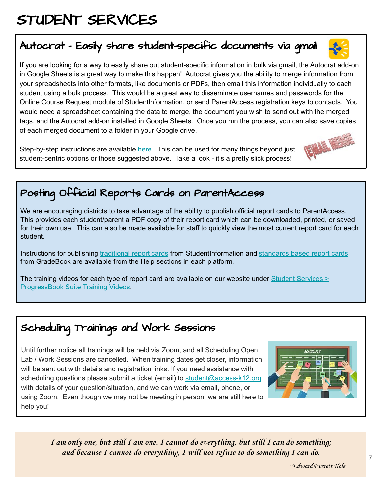## STUDENT SERVICES

## Autocrat - Easily share student-specific documents via gmail

If you are looking for a way to easily share out student-specific information in bulk via gmail, the Autocrat add-on in Google Sheets is a great way to make this happen! Autocrat gives you the ability to merge information from your spreadsheets into other formats, like documents or PDFs, then email this information individually to each student using a bulk process. This would be a great way to disseminate usernames and passwords for the Online Course Request module of StudentInformation, or send ParentAccess registration keys to contacts. You would need a spreadsheet containing the data to merge, the document you wish to send out with the merged tags, and the Autocrat add-on installed in Google Sheets. Once you run the process, you can also save copies of each merged document to a folder in your Google drive.

Step-by-step instructions are available [here](https://blog.sheetgo.com/education-processes/how-to-use-autocrat-add-on-for-google-sheets/). This can be used for many things beyond just student-centric options or those suggested above. Take a look - it's a pretty slick process!

## Posting Official Reports Cards on ParentAccess

We are encouraging districts to take advantage of the ability to publish official report cards to ParentAccess. This provides each student/parent a PDF copy of their report card which can be downloaded, printed, or saved for their own use. This can also be made available for staff to quickly view the most current report card for each student.

Instructions for publishing [traditional report cards](http://webhelp.progressbook.com/StudentInformation/checklists/Report_Cards_Processing.pdf) from StudentInformation and [standards based report cards](http://webhelp.progressbook.com/GradeBook/PrincipalGuide/Principal_Guide2/report_cards/Finalize_Report_Cards.htm#XREF_84673_Finalize_and) from GradeBook are available from the Help sections in each platform.

The training videos for each type of report card are available on our website under [Student Services >](https://www.access-k12.org/Page/359) [ProgressBook Suite Training Videos.](https://www.access-k12.org/Page/359)

## Scheduling Trainings and Work Sessions

Until further notice all trainings will be held via Zoom, and all Scheduling Open Lab / Work Sessions are cancelled. When training dates get closer, information will be sent out with details and registration links. If you need assistance with scheduling questions please submit a ticket (email) to [student@access-k12.org](mailto:student@access-k12.org) with details of your question/situation, and we can work via email, phone, or using Zoom. Even though we may not be meeting in person, we are still here to help you!

> **I am only one, but still I am one. I cannot do everything, but still I can do something; and because I cannot do everything, I will not refuse to do something I can do.**









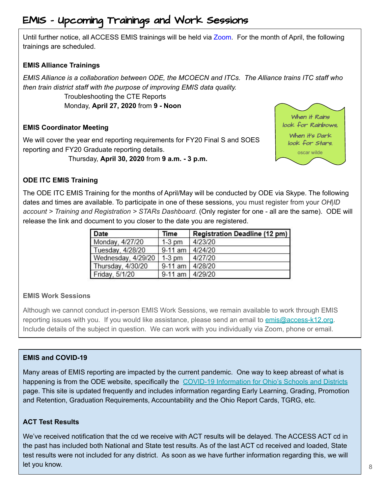## EMIS - Upcoming Trainings and Work Sessions

Until further notice, all ACCESS EMIS trainings will be held via Zoom. For the month of April, the following trainings are scheduled.

### **EMIS Alliance Trainings**

*EMIS Alliance is a collaboration between ODE, the MCOECN and ITCs. The Alliance trains ITC staff who then train district staff with the purpose of improving EMIS data quality.*

> Troubleshooting the CTE Reports Monday, **April 27, 2020** from **9 - Noon**

### **EMIS Coordinator Meeting**

We will cover the year end reporting requirements for FY20 Final S and SOES reporting and FY20 Graduate reporting details.

Thursday, **April 30, 2020** from **9 a.m. - 3 p.m.**



### **ODE ITC EMIS Training**

The ODE ITC EMIS Training for the months of April/May will be conducted by ODE via Skype. The following dates and times are available. To participate in one of these sessions, you must register from your *OH|ID account > Training and Registration > STARs Dashboard*. (Only register for one - all are the same). ODE will release the link and document to you closer to the date you are registered.

| Date               | Time               | Registration Deadline (12 pm) |
|--------------------|--------------------|-------------------------------|
| Monday, 4/27/20    | $1-3$ pm           | 4/23/20                       |
| Tuesday, 4/28/20   | 9-11 am $ 4/24/20$ |                               |
| Wednesday, 4/29/20 | $1-3$ pm           | 4/27/20                       |
| Thursday, 4/30/20  | 9-11 am 4/28/20    |                               |
| Friday, 5/1/20     | 9-11 am   4/29/20  |                               |

### **EMIS Work Sessions**

Although we cannot conduct in-person EMIS Work Sessions, we remain available to work through EMIS reporting issues with you. If you would like assistance, please send an email to [emis@access-k12.org](mailto:emis@access-k12.org). Include details of the subject in question. We can work with you individually via Zoom, phone or email.

### **EMIS and COVID-19**

Many areas of EMIS reporting are impacted by the current pandemic. One way to keep abreast of what is happening is from the ODE website, specifically the [COVID-19 Information for Ohio's Schools and Districts](http://education.ohio.gov/Topics/Student-Supports/Coronavirus) page. This site is updated frequently and includes information regarding Early Learning, Grading, Promotion and Retention, Graduation Requirements, Accountability and the Ohio Report Cards, TGRG, etc.

### **ACT Test Results**

We've received notification that the cd we receive with ACT results will be delayed. The ACCESS ACT cd in the past has included both National and State test results. As of the last ACT cd received and loaded, State test results were not included for any district. As soon as we have further information regarding this, we will let you know.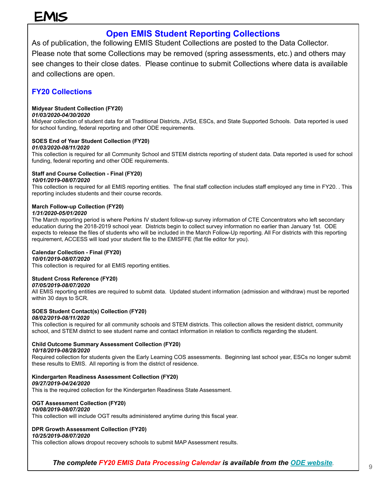## EMIS

### **Open EMIS Student Reporting Collections**

As of publication, the following EMIS Student Collections are posted to the Data Collector. Please note that some Collections may be removed (spring assessments, etc.) and others may see changes to their close dates. Please continue to submit Collections where data is available and collections are open.

### **FY20 Collections**

### **Midyear Student Collection (FY20)**

### *01/03/2020-04/30/2020*

Midyear collection of student data for all Traditional Districts, JVSd, ESCs, and State Supported Schools. Data reported is used for school funding, federal reporting and other ODE requirements.

### **SOES End of Year Student Collection (FY20)**

### *01/03/2020-08/11/2020*

This collection is required for all Community School and STEM districts reporting of student data. Data reported is used for school funding, federal reporting and other ODE requirements.

### **Staff and Course Collection - Final (FY20)**

### *10/01/2019-08/07/2020*

This collection is required for all EMIS reporting entities. The final staff collection includes staff employed any time in FY20. . This reporting includes students and their course records.

### **March Follow-up Collection (FY20)**

### *1/31/2020-05/01/2020*

The March reporting period is where Perkins IV student follow-up survey information of CTE Concentrators who left secondary education during the 2018-2019 school year. Districts begin to collect survey information no earlier than January 1st. ODE expects to release the files of students who will be included in the March Follow-Up reporting. All For districts with this reporting requirement, ACCESS will load your student file to the EMISFFE (flat file editor for you).

### **Calendar Collection - Final (FY20)**

### *10/01/2019-08/07/2020*

This collection is required for all EMIS reporting entities.

### **Student Cross Reference (FY20)**

### *07/05/2019-08/07/2020*

All EMIS reporting entities are required to submit data. Updated student information (admission and withdraw) must be reported within 30 days to SCR.

### **SOES Student Contact(s) Collection (FY20)**

### *08/02/2019-08/11/2020*

This collection is required for all community schools and STEM districts. This collection allows the resident district, community school, and STEM district to see student name and contact information in relation to conflicts regarding the student.

#### **Child Outcome Summary Assessment Collection (FY20)** *10/18/2019-08/28/2020*

Required collection for students given the Early Learning COS assessments. Beginning last school year, ESCs no longer submit these results to EMIS. All reporting is from the district of residence.

### **Kindergarten Readiness Assessment Collection (FY20)**

### *09/27/2019-04/24/2020*

This is the required collection for the Kindergarten Readiness State Assessment.

### **OGT Assessment Collection (FY20)**

#### *10/08/2019-08/07/2020* This collection will include OGT results administered anytime during this fiscal year.

### **DPR Growth Assessment Collection (FY20)**

### *10/25/2019-08/07/2020*

This collection allows dropout recovery schools to submit MAP Assessment results.

*The complete FY20 EMIS Data Processing Calendar is available from the [ODE website](http://education.ohio.gov/getattachment/Topics/Data/EMIS/Reporting-Responsibilities/EMIS-Data-Collection-Calendars/Processing-Schedule-FY20-v0-2-1-6-20.pdf.aspx?lang=en-US)*.